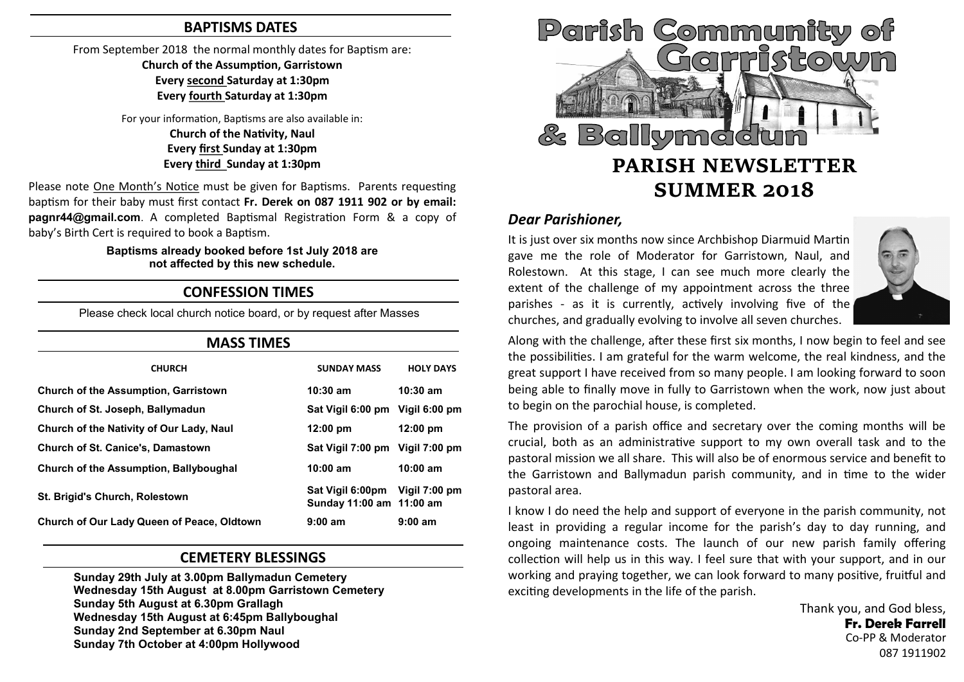#### **BAPTISMS DATES**

From September 2018 the normal monthly dates for Baptism are:

**Church of the Assumption, Garristown Every second Saturday at 1:30pm Every fourth Saturday at 1:30pm**

For your information, Baptisms are also available in: **Church of the Nativity, Naul Every first Sunday at 1:30pm Every third Sunday at 1:30pm**

Please note One Month's Notice must be given for Baptisms. Parents requesting baptism for their baby must first contact **Fr. Derek on 087 1911 902 or by email: pagnr44@gmail.com**. A completed Baptismal Registration Form & a copy of baby's Birth Cert is required to book a Baptism.

#### **Baptisms already booked before 1st July 2018 are not affected by this new schedule.**

## **CONFESSION TIMES**

Please check local church notice board, or by request after Masses

| <b>MASS TIMES</b>                                 |                                              |                    |
|---------------------------------------------------|----------------------------------------------|--------------------|
| <b>CHURCH</b>                                     | <b>SUNDAY MASS</b>                           | <b>HOLY DAYS</b>   |
| <b>Church of the Assumption, Garristown</b>       | $10:30$ am                                   | $10:30$ am         |
| Church of St. Joseph, Ballymadun                  | Sat Vigil 6:00 pm Vigil 6:00 pm              |                    |
| Church of the Nativity of Our Lady, Naul          | $12:00 \text{ pm}$                           | $12:00 \text{ pm}$ |
| <b>Church of St. Canice's, Damastown</b>          | Sat Vigil 7:00 pm Vigil 7:00 pm              |                    |
| Church of the Assumption, Ballyboughal            | $10:00$ am                                   | $10:00$ am         |
| <b>St. Brigid's Church, Rolestown</b>             | Sat Vigil 6:00pm<br>Sunday 11:00 am 11:00 am | Vigil 7:00 pm      |
| <b>Church of Our Lady Queen of Peace, Oldtown</b> | 9:00 am                                      | 9:00 am            |

## **CEMETERY BLESSINGS**

**Sunday 29th July at 3.00pm Ballymadun Cemetery Wednesday 15th August at 8.00pm Garristown Cemetery Sunday 5th August at 6.30pm Grallagh Wednesday 15th August at 6:45pm Ballyboughal Sunday 2nd September at 6.30pm Naul Sunday 7th October at 4:00pm Hollywood**



## *Dear Parishioner,*

It is just over six months now since Archbishop Diarmuid Martin gave me the role of Moderator for Garristown, Naul, and Rolestown. At this stage, I can see much more clearly the extent of the challenge of my appointment across the three parishes - as it is currently, actively involving five of the churches, and gradually evolving to involve all seven churches.



Along with the challenge, after these first six months, I now begin to feel and see the possibilities. I am grateful for the warm welcome, the real kindness, and the great support I have received from so many people. I am looking forward to soon being able to finally move in fully to Garristown when the work, now just about to begin on the parochial house, is completed.

The provision of a parish office and secretary over the coming months will be crucial, both as an administrative support to my own overall task and to the pastoral mission we all share. This will also be of enormous service and benefit to the Garristown and Ballymadun parish community, and in time to the wider pastoral area.

I know I do need the help and support of everyone in the parish community, not least in providing a regular income for the parish's day to day running, and ongoing maintenance costs. The launch of our new parish family offering collection will help us in this way. I feel sure that with your support, and in our working and praying together, we can look forward to many positive, fruitful and exciting developments in the life of the parish.

> Thank you, and God bless, **Fr. Derek Farrell** Co-PP & Moderator 087 1911902